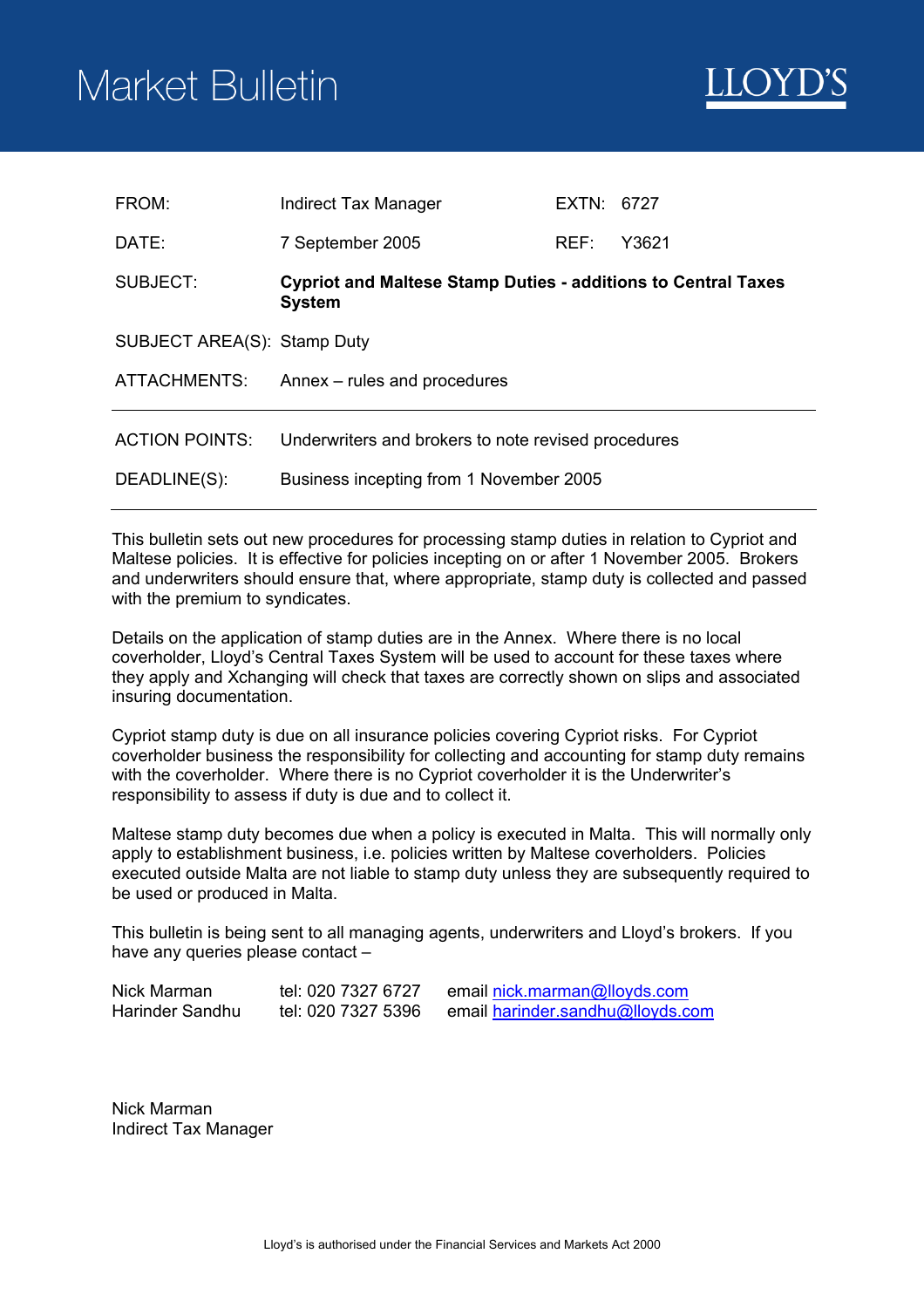# Market Bulletin



| FROM:                       | Indirect Tax Manager                                                                  | EXTN: 6727 |       |
|-----------------------------|---------------------------------------------------------------------------------------|------------|-------|
| DATE:                       | 7 September 2005                                                                      | REF:       | Y3621 |
| SUBJECT:                    | <b>Cypriot and Maltese Stamp Duties - additions to Central Taxes</b><br><b>System</b> |            |       |
| SUBJECT AREA(S): Stamp Duty |                                                                                       |            |       |
| <b>ATTACHMENTS:</b>         | Annex – rules and procedures                                                          |            |       |
| <b>ACTION POINTS:</b>       | Underwriters and brokers to note revised procedures                                   |            |       |
| DEADLINE(S):                | Business incepting from 1 November 2005                                               |            |       |

This bulletin sets out new procedures for processing stamp duties in relation to Cypriot and Maltese policies. It is effective for policies incepting on or after 1 November 2005. Brokers and underwriters should ensure that, where appropriate, stamp duty is collected and passed with the premium to syndicates.

Details on the application of stamp duties are in the Annex. Where there is no local coverholder, Lloyd's Central Taxes System will be used to account for these taxes where they apply and Xchanging will check that taxes are correctly shown on slips and associated insuring documentation.

Cypriot stamp duty is due on all insurance policies covering Cypriot risks. For Cypriot coverholder business the responsibility for collecting and accounting for stamp duty remains with the coverholder. Where there is no Cypriot coverholder it is the Underwriter's responsibility to assess if duty is due and to collect it.

Maltese stamp duty becomes due when a policy is executed in Malta. This will normally only apply to establishment business, i.e. policies written by Maltese coverholders. Policies executed outside Malta are not liable to stamp duty unless they are subsequently required to be used or produced in Malta.

This bulletin is being sent to all managing agents, underwriters and Lloyd's brokers. If you have any queries please contact –

| Nick Marman     | tel: 020 7327 6727 | email nick.marman@lloyds.com     |
|-----------------|--------------------|----------------------------------|
| Harinder Sandhu | tel: 020 7327 5396 | email harinder.sandhu@lloyds.com |

Nick Marman Indirect Tax Manager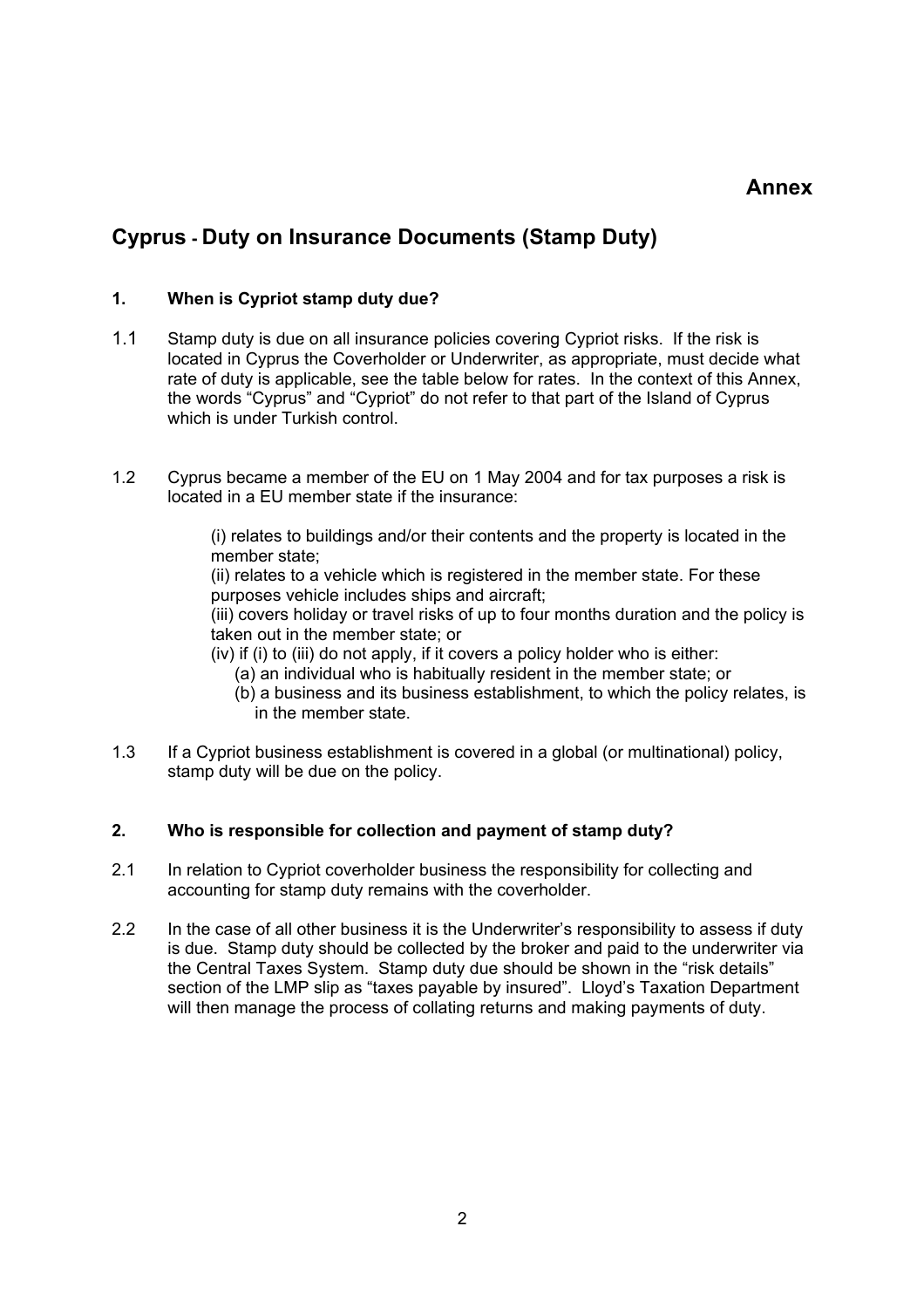## **Annex**

# **Cyprus - Duty on Insurance Documents (Stamp Duty)**

#### **1. When is Cypriot stamp duty due?**

- 1.1 Stamp duty is due on all insurance policies covering Cypriot risks. If the risk is located in Cyprus the Coverholder or Underwriter, as appropriate, must decide what rate of duty is applicable, see the table below for rates. In the context of this Annex, the words "Cyprus" and "Cypriot" do not refer to that part of the Island of Cyprus which is under Turkish control.
- 1.2 Cyprus became a member of the EU on 1 May 2004 and for tax purposes a risk is located in a EU member state if the insurance:

(i) relates to buildings and/or their contents and the property is located in the member state;

(ii) relates to a vehicle which is registered in the member state. For these purposes vehicle includes ships and aircraft;

(iii) covers holiday or travel risks of up to four months duration and the policy is taken out in the member state; or

(iv) if (i) to (iii) do not apply, if it covers a policy holder who is either:

- (a) an individual who is habitually resident in the member state; or
- (b) a business and its business establishment, to which the policy relates, is in the member state.
- 1.3 If a Cypriot business establishment is covered in a global (or multinational) policy, stamp duty will be due on the policy.

## **2. Who is responsible for collection and payment of stamp duty?**

- 2.1 In relation to Cypriot coverholder business the responsibility for collecting and accounting for stamp duty remains with the coverholder.
- 2.2 In the case of all other business it is the Underwriter's responsibility to assess if duty is due. Stamp duty should be collected by the broker and paid to the underwriter via the Central Taxes System. Stamp duty due should be shown in the "risk details" section of the LMP slip as "taxes payable by insured". Lloyd's Taxation Department will then manage the process of collating returns and making payments of duty.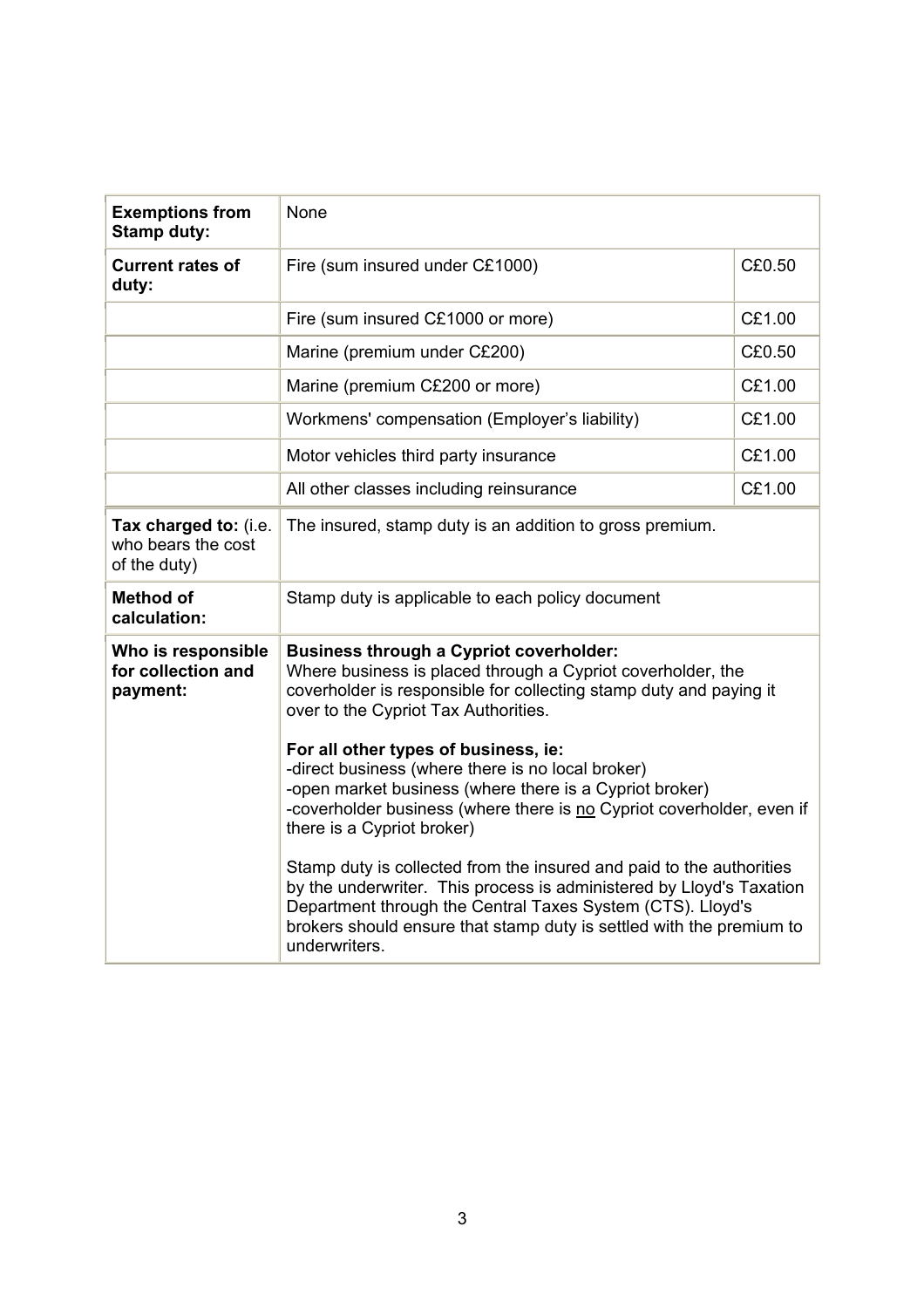| <b>Exemptions from</b><br><b>Stamp duty:</b>                | None                                                                                                                                                                                                                                                                                                |        |  |
|-------------------------------------------------------------|-----------------------------------------------------------------------------------------------------------------------------------------------------------------------------------------------------------------------------------------------------------------------------------------------------|--------|--|
| <b>Current rates of</b><br>duty:                            | Fire (sum insured under C£1000)                                                                                                                                                                                                                                                                     | C£0.50 |  |
|                                                             | Fire (sum insured C£1000 or more)                                                                                                                                                                                                                                                                   | C£1.00 |  |
|                                                             | Marine (premium under C£200)                                                                                                                                                                                                                                                                        | C£0.50 |  |
|                                                             | Marine (premium C£200 or more)                                                                                                                                                                                                                                                                      | C£1.00 |  |
|                                                             | Workmens' compensation (Employer's liability)                                                                                                                                                                                                                                                       | C£1.00 |  |
|                                                             | Motor vehicles third party insurance                                                                                                                                                                                                                                                                | C£1.00 |  |
|                                                             | All other classes including reinsurance                                                                                                                                                                                                                                                             | C£1.00 |  |
| Tax charged to: (i.e.<br>who bears the cost<br>of the duty) | The insured, stamp duty is an addition to gross premium.                                                                                                                                                                                                                                            |        |  |
| <b>Method of</b><br>calculation:                            | Stamp duty is applicable to each policy document                                                                                                                                                                                                                                                    |        |  |
| Who is responsible<br>for collection and<br>payment:        | <b>Business through a Cypriot coverholder:</b><br>Where business is placed through a Cypriot coverholder, the<br>coverholder is responsible for collecting stamp duty and paying it<br>over to the Cypriot Tax Authorities.                                                                         |        |  |
|                                                             | For all other types of business, ie:<br>-direct business (where there is no local broker)<br>-open market business (where there is a Cypriot broker)<br>-coverholder business (where there is no Cypriot coverholder, even if<br>there is a Cypriot broker)                                         |        |  |
|                                                             | Stamp duty is collected from the insured and paid to the authorities<br>by the underwriter. This process is administered by Lloyd's Taxation<br>Department through the Central Taxes System (CTS). Lloyd's<br>brokers should ensure that stamp duty is settled with the premium to<br>underwriters. |        |  |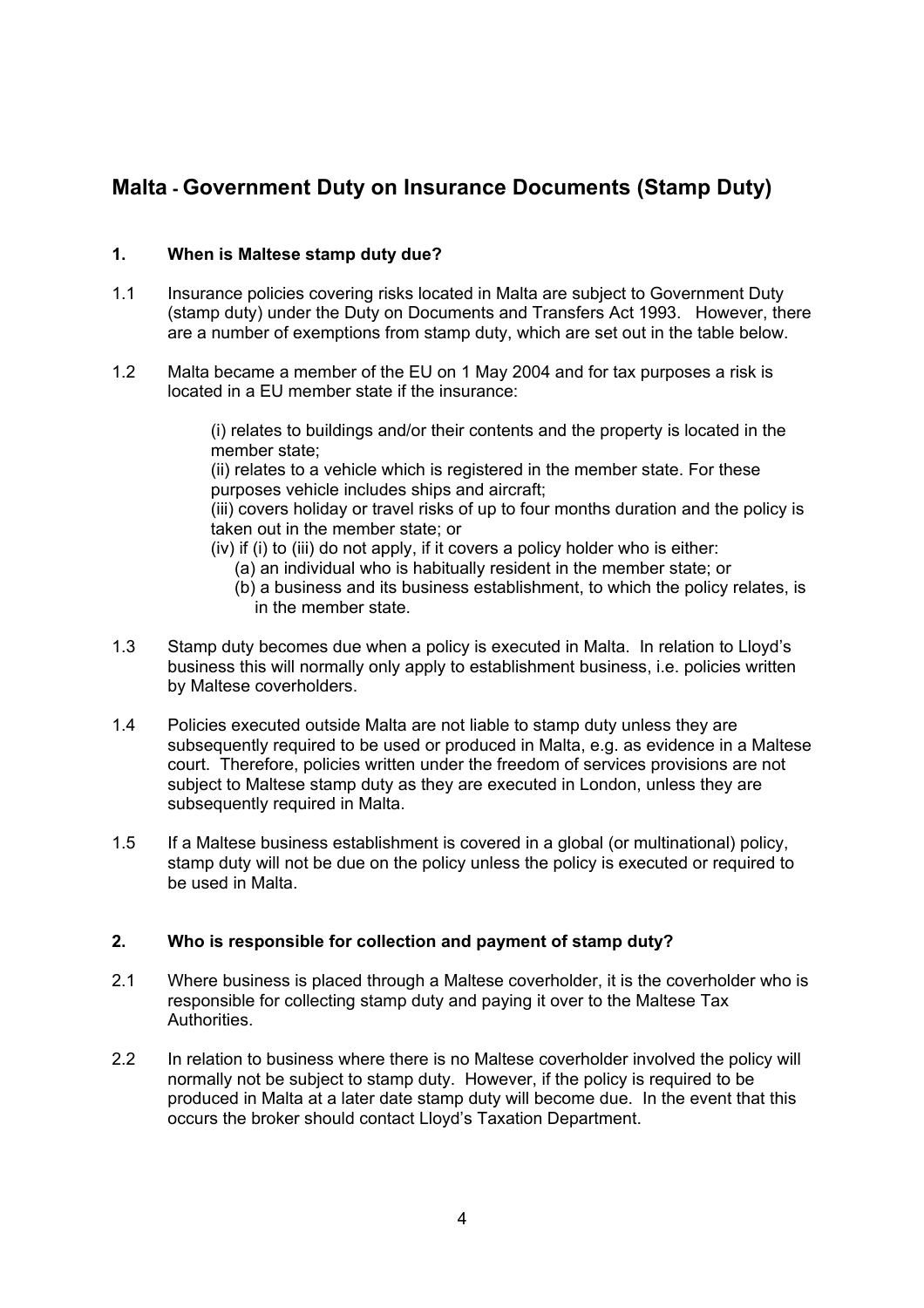# **Malta - Government Duty on Insurance Documents (Stamp Duty)**

## **1. When is Maltese stamp duty due?**

- 1.1 Insurance policies covering risks located in Malta are subject to Government Duty (stamp duty) under the Duty on Documents and Transfers Act 1993. However, there are a number of exemptions from stamp duty, which are set out in the table below.
- 1.2 Malta became a member of the EU on 1 May 2004 and for tax purposes a risk is located in a EU member state if the insurance:

(i) relates to buildings and/or their contents and the property is located in the member state;

(ii) relates to a vehicle which is registered in the member state. For these purposes vehicle includes ships and aircraft;

(iii) covers holiday or travel risks of up to four months duration and the policy is taken out in the member state; or

- (iv) if (i) to (iii) do not apply, if it covers a policy holder who is either:
	- (a) an individual who is habitually resident in the member state; or
	- (b) a business and its business establishment, to which the policy relates, is in the member state.
- 1.3 Stamp duty becomes due when a policy is executed in Malta. In relation to Lloyd's business this will normally only apply to establishment business, i.e. policies written by Maltese coverholders.
- 1.4 Policies executed outside Malta are not liable to stamp duty unless they are subsequently required to be used or produced in Malta, e.g. as evidence in a Maltese court. Therefore, policies written under the freedom of services provisions are not subject to Maltese stamp duty as they are executed in London, unless they are subsequently required in Malta.
- 1.5 If a Maltese business establishment is covered in a global (or multinational) policy, stamp duty will not be due on the policy unless the policy is executed or required to be used in Malta.

#### **2. Who is responsible for collection and payment of stamp duty?**

- 2.1 Where business is placed through a Maltese coverholder, it is the coverholder who is responsible for collecting stamp duty and paying it over to the Maltese Tax Authorities.
- 2.2 In relation to business where there is no Maltese coverholder involved the policy will normally not be subject to stamp duty. However, if the policy is required to be produced in Malta at a later date stamp duty will become due. In the event that this occurs the broker should contact Lloyd's Taxation Department.